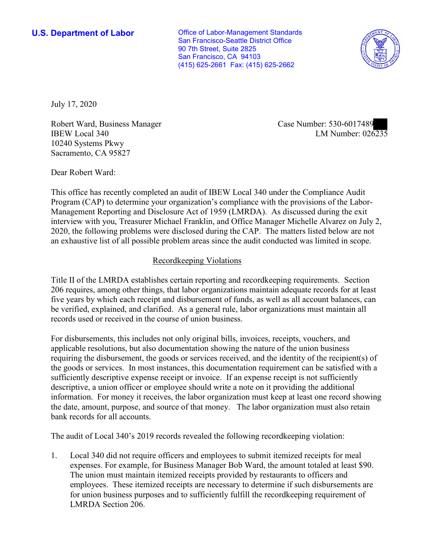**U.S. Department of Labor Conservative Conservative Conservative Conservative Conservative Conservative Conservative Conservative Conservative Conservative Conservative Conservative Conservative Conservative Conservative** San Francisco-Seattle District Office 90 7th Street, Suite 2825 San Francisco, CA 94103 (415) 625-2661 Fax: (415) 625-2662



July 17, 2020

Robert ward, Business Manager<br>IBEW Local 340 LM Number: 026235 Robert Ward, Business Manager Case Number: 530-6017489 10240 Systems Pkwy Sacramento, CA 95827

Dear Robert Ward:

 This office has recently completed an audit of IBEW Local 340 under the Compliance Audit Program (CAP) to determine your organization's compliance with the provisions of the Labor-Management Reporting and Disclosure Act of 1959 (LMRDA). As discussed during the exit interview with you, Treasurer Michael Franklin, and Office Manager Michelle Alvarez on July 2, 2020, the following problems were disclosed during the CAP. The matters listed below are not an exhaustive list of all possible problem areas since the audit conducted was limited in scope.

## Recordkeeping Violations

 Title II of the LMRDA establishes certain reporting and recordkeeping requirements. Section 206 requires, among other things, that labor organizations maintain adequate records for at least five years by which each receipt and disbursement of funds, as well as all account balances, can be verified, explained, and clarified. As a general rule, labor organizations must maintain all records used or received in the course of union business.

 sufficiently descriptive expense receipt or invoice. If an expense receipt is not sufficiently For disbursements, this includes not only original bills, invoices, receipts, vouchers, and applicable resolutions, but also documentation showing the nature of the union business requiring the disbursement, the goods or services received, and the identity of the recipient(s) of the goods or services. In most instances, this documentation requirement can be satisfied with a descriptive, a union officer or employee should write a note on it providing the additional information. For money it receives, the labor organization must keep at least one record showing the date, amount, purpose, and source of that money. The labor organization must also retain bank records for all accounts.

The audit of Local 340's 2019 records revealed the following recordkeeping violation:

1. Local 340 did not require officers and employees to submit itemized receipts for meal expenses. For example, for Business Manager Bob Ward, the amount totaled at least \$90. The union must maintain itemized receipts provided by restaurants to officers and employees. These itemized receipts are necessary to determine if such disbursements are for union business purposes and to sufficiently fulfill the recordkeeping requirement of LMRDA Section 206.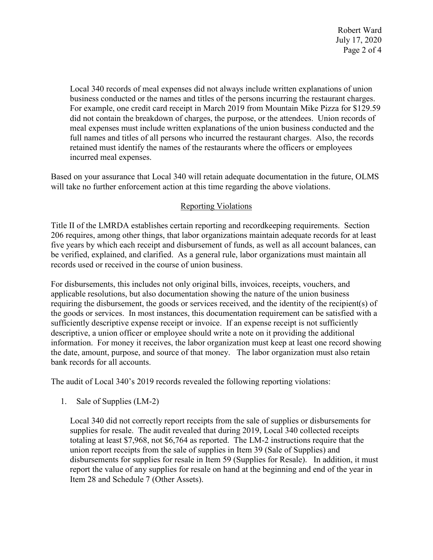Robert Ward July 17, 2020 Page 2 of 4

business conducted or the names and titles of the persons incurring the restaurant charges. retained must identify the names of the restaurants where the officers or employees Local 340 records of meal expenses did not always include written explanations of union For example, one credit card receipt in March 2019 from Mountain Mike Pizza for \$129.59 did not contain the breakdown of charges, the purpose, or the attendees. Union records of meal expenses must include written explanations of the union business conducted and the full names and titles of all persons who incurred the restaurant charges. Also, the records incurred meal expenses.

 Based on your assurance that Local 340 will retain adequate documentation in the future, OLMS will take no further enforcement action at this time regarding the above violations.

## Reporting Violations

 Title II of the LMRDA establishes certain reporting and recordkeeping requirements. Section 206 requires, among other things, that labor organizations maintain adequate records for at least five years by which each receipt and disbursement of funds, as well as all account balances, can be verified, explained, and clarified. As a general rule, labor organizations must maintain all records used or received in the course of union business.

For disbursements, this includes not only original bills, invoices, receipts, vouchers, and applicable resolutions, but also documentation showing the nature of the union business requiring the disbursement, the goods or services received, and the identity of the recipient(s) of the goods or services. In most instances, this documentation requirement can be satisfied with a sufficiently descriptive expense receipt or invoice. If an expense receipt is not sufficiently descriptive, a union officer or employee should write a note on it providing the additional information. For money it receives, the labor organization must keep at least one record showing the date, amount, purpose, and source of that money. The labor organization must also retain bank records for all accounts.

The audit of Local 340's 2019 records revealed the following reporting violations:

1. Sale of Supplies (LM-2)

Local 340 did not correctly report receipts from the sale of supplies or disbursements for supplies for resale. The audit revealed that during 2019, Local 340 collected receipts totaling at least \$7,968, not \$6,764 as reported. The LM-2 instructions require that the union report receipts from the sale of supplies in Item 39 (Sale of Supplies) and disbursements for supplies for resale in Item 59 (Supplies for Resale). In addition, it must report the value of any supplies for resale on hand at the beginning and end of the year in Item 28 and Schedule 7 (Other Assets).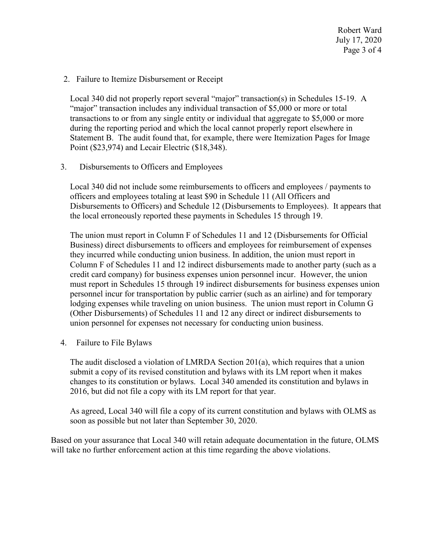2. Failure to Itemize Disbursement or Receipt

 Local 340 did not properly report several "major" transaction(s) in Schedules 15-19. A "major" transaction includes any individual transaction of \$5,000 or more or total transactions to or from any single entity or individual that aggregate to \$5,000 or more during the reporting period and which the local cannot properly report elsewhere in Statement B. The audit found that, for example, there were Itemization Pages for Image Point (\$23,974) and Lecair Electric (\$18,348).

3. Disbursements to Officers and Employees

Local 340 did not include some reimbursements to officers and employees / payments to officers and employees totaling at least \$90 in Schedule 11 (All Officers and Disbursements to Officers) and Schedule 12 (Disbursements to Employees). It appears that the local erroneously reported these payments in Schedules 15 through 19.

 The union must report in Column F of Schedules 11 and 12 (Disbursements for Official Column F of Schedules 11 and 12 indirect disbursements made to another party (such as a personnel incur for transportation by public carrier (such as an airline) and for temporary Business) direct disbursements to officers and employees for reimbursement of expenses they incurred while conducting union business. In addition, the union must report in credit card company) for business expenses union personnel incur. However, the union must report in Schedules 15 through 19 indirect disbursements for business expenses union lodging expenses while traveling on union business. The union must report in Column G (Other Disbursements) of Schedules 11 and 12 any direct or indirect disbursements to union personnel for expenses not necessary for conducting union business.

4. Failure to File Bylaws

 2016, but did not file a copy with its LM report for that year. The audit disclosed a violation of LMRDA Section 201(a), which requires that a union submit a copy of its revised constitution and bylaws with its LM report when it makes changes to its constitution or bylaws. Local 340 amended its constitution and bylaws in

 As agreed, Local 340 will file a copy of its current constitution and bylaws with OLMS as soon as possible but not later than September 30, 2020.

 Based on your assurance that Local 340 will retain adequate documentation in the future, OLMS will take no further enforcement action at this time regarding the above violations.